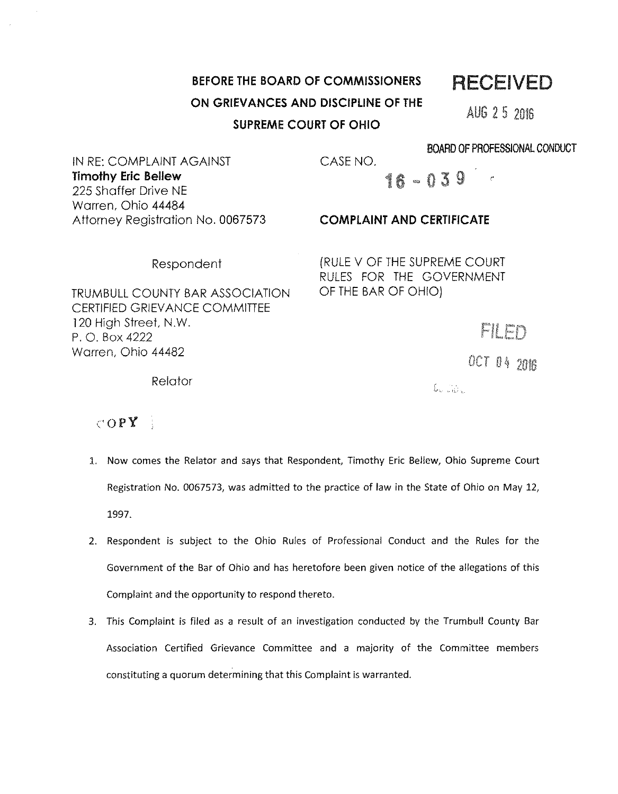## **BEFORE THE BOARD OF COMMISSIONERS ON GRIEVANCES AND DISCIPLINE OF THE SUPREME COURT OF OHIO**

RECEIVED

AUG 2 5 2016

BOARD OF PROFESSIONAL CONDUCT

IN RE: COMPLAINT AGAINST **Timothy Eric Bellew**  225 Shaffer Drive NE Warren, Ohio 44484 Attorney Registration No. 0067573

## **COMPLAINT AND CERTIFICATE**

16 - 039

(RULE V OF THE SUPREME COURT RULES FOR THE GOVERNMENT OF THE BAR OF OHIO)

TRUMBULL COUNTY BAR ASSOCIATION CERTIFIED GR/EV ANCE COMMITTEE 120 High Street, N.W. P. 0. Box 4222 Warren, Ohio 44482

Respondent

**Relator** 

# $0CT$   $04$   $20B$

FILED

 $\mathbb{C}$   $\mathbb{R}$ 

### $\text{COPY}$

- 1. Now comes the Relator and says that Respondent, Timothy Eric Bellew, Ohio Supreme Court Registration No. 0067573, was admitted to the practice of law in the State of Ohio on May 12, 1997.
- 2. Respondent is subject to the Ohio Rules of Professional Conduct and the Rules for the Government of the Bar of Ohio and has heretofore been given notice of the allegations of this Complaint and the opportunity to respond thereto.
- 3. This Complaint is filed as a result of an investigation conducted by the Trumbull County Bar Association Certified Grievance Committee and a majority of the Committee members constituting a quorum determining that this Complaint is warranted.

CASE NO.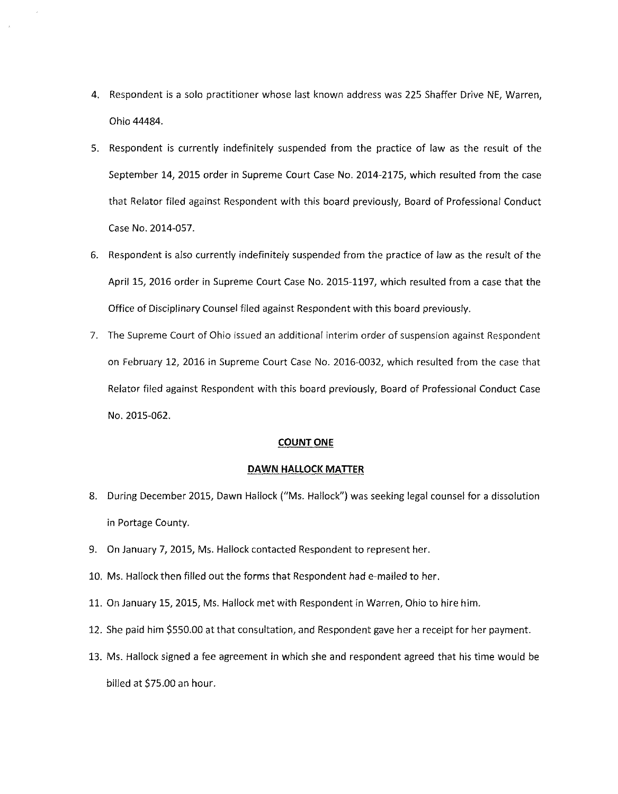- 4. Respondent is a solo practitioner whose last known address was 225 Shaffer Drive NE, Warren, Ohio 44484.
- 5. Respondent is currently indefinitely suspended from the practice of law as the result of the September 14, 2015 order in Supreme Court Case No. 2014-2175, which resulted from the case that Relator filed against Respondent with this board previously, Board of Professional Conduct Case No. 2014-057.
- 6. Respondent is also currently indefinitely suspended from the practice of law as the result of the April 15, 2016 order in Supreme Court Case No. 2015-1197, which resulted from a case that the Office of Disciplinary Counsel filed against Respondent with this board previously.
- 7. The Supreme Court of Ohio issued an additional interim order of suspension against Respondent on February 12, 2016 in Supreme Court Case No. 2016-0032, which resulted from the case that Relator filed against Respondent with this board previously, Board of Professional Conduct Case No. 2015-062.

#### **COUNT ONE**

#### **DAWN HALLOCK MATTER**

- 8. During December 2015, Dawn Hallock ("Ms. Hallock") was seeking legal counsel for a dissolution in Portage County.
- 9. On January 7, 2015, Ms. Hallock contacted Respondent to represent her.
- 10. Ms. Hallock then filled out the forms that Respondent had e-mailed to her.
- 11. On January 15, 2015, Ms. Hallock met with Respondent in Warren, Ohio to hire him.
- 12. She paid him \$550.00 at that consultation, and Respondent gave her a receipt for her payment.
- 13. Ms. Hallock signed a fee agreement in which she and respondent agreed that his time would be billed at \$75.00 an hour.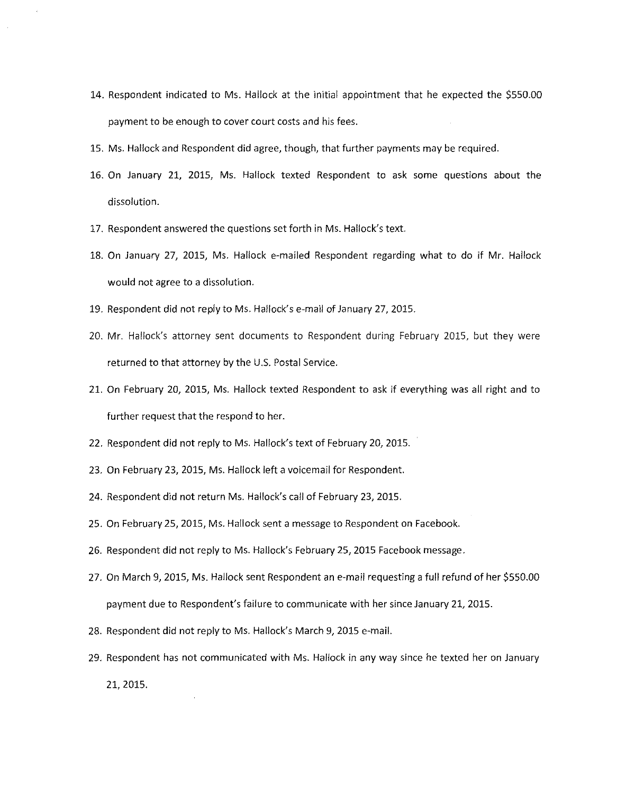- 14. Respondent indicated to Ms. Hallock at the initial appointment that he expected the \$550.00 payment to be enough to cover court costs and his fees.
- 15. Ms. Hallock and Respondent did agree, though, that further payments may be required.
- 16. On January 21, 2015, Ms. Hallock texted Respondent to ask some questions about the dissolution.
- 17. Respondent answered the questions set forth in Ms. Hallock's text.
- 18. On January 27, 2015, Ms. Hallock e-mailed Respondent regarding what to do if Mr. Hallock would not agree to a dissolution.
- 19. Respondent did not reply to Ms. Hallock's e-mail of January 27, 2015.
- 20. Mr. Hallock's attorney sent documents to Respondent during February 2015, but they were returned to that attorney by the U.S. Postal Service.
- 21. On February 20, 2015, Ms. Hallock texted Respondent to ask if everything was all right and to further request that the respond to her.
- 22. Respondent did not reply to Ms. Hallock's text of February 20, 2015.
- 23. On February 23, 2015, Ms. Hallock left a voicemail for Respondent.
- 24. Respondent did not return Ms. Hallock's call of February 23, 2015.
- 25. On February 25, 2015, Ms. Hallock sent a message to Respondent on Facebook.
- 26. Respondent did not reply to Ms. Hallock's February 25, 2015 Facebook message.
- 27. On March 9, 2015, Ms. Hallock sent Respondent an e-mail requesting a full refund of her \$550.00 payment due to Respondent's failure to communicate with her since January 21, 2015.
- 28. Respondent did not reply to Ms. Hallock's March 9, 2015 e-mail.
- 29. Respondent has not communicated with Ms. Hallock in any way since he texted her on January 21, 2015.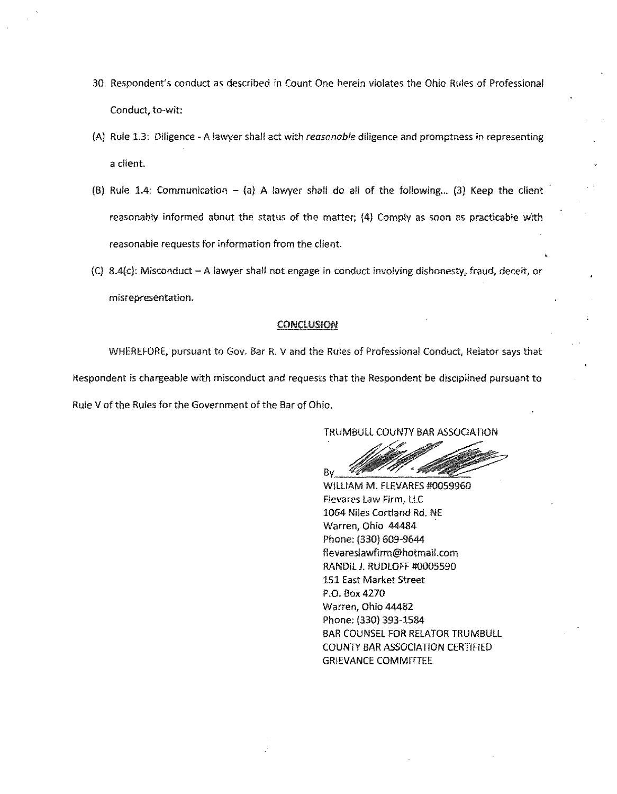- 30. Respondent's conduct as described in Count One herein violates the Ohio Rules of Professional Conduct, to-wit:
- (A) Rule 1.3: Diligence A lawyer shall act with reasonable diligence and promptness in representing a client.
- (B) Rule 1.4: Communication  $-$  (a) A lawyer shall do all of the following... (3) Keep the client reasonably informed about the status of the matter; (4) Comply as soon as practicable with reasonable requests for information from the client.
- $(C)$  8.4(c): Misconduct A lawyer shall not engage in conduct involving dishonesty, fraud, deceit, or misrepresentation.

#### **CONCLUSION**

WHEREFORE, pursuant to Gov. Bar R. V and the Rules of Professional Conduct, Relator says that Respondent is chargeable with misconduct and requests that the Respondent be disciplined pursuant to Rule V of the Rules for the Government of the Bar of Ohio.

TRUMBULL COUNTY BAR ASSOCIATION

 $By$   $\frac{1}{2}$   $B = 1$ 

WILLIAM M. FLEVARES #0059960 Flevares Law Firm, LLC 1064 Niles Cortland Rd. NE Warren, Ohio 44484 Phone: (330) 609-9644 flevareslawflrm@hotmail.com RANDIL J. RUDLOFF #0005590 151 East Market Street P.O. Box4270 Warren, Ohio 44482 Phone: (330) 393-1584 BAR COUNSEL FOR RELATOR TRUMBULL COUNTY BAR ASSOCIATION CERTIFIED GRIEVANCE COMMITTEE